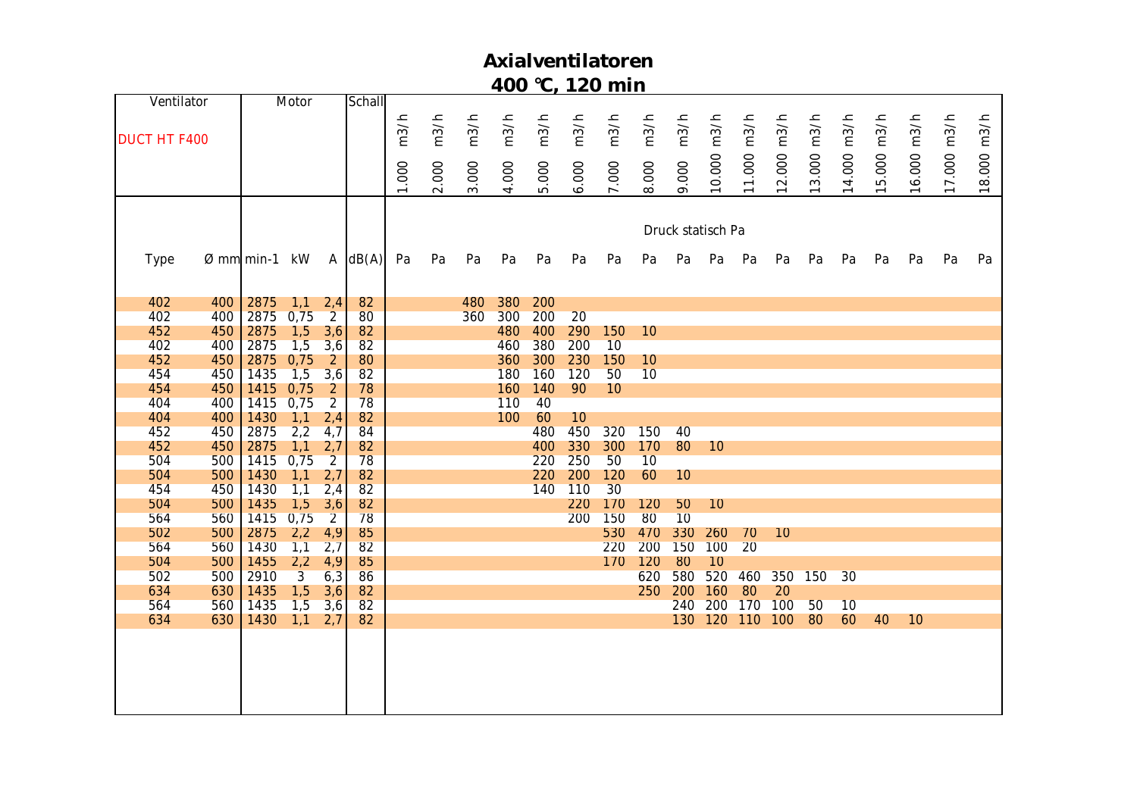| Ventilator          |            |                           | Motor          |                       | Schall       |       |       |            |            |            |       |            |            |                   |            |          |       |            |             |        |             |             |        |
|---------------------|------------|---------------------------|----------------|-----------------------|--------------|-------|-------|------------|------------|------------|-------|------------|------------|-------------------|------------|----------|-------|------------|-------------|--------|-------------|-------------|--------|
|                     |            |                           |                |                       |              | m3/h  | m3/h  | m3/h       | m3/h       | m3/h       | m3/h  | m3/h       | m3/h       | m3/h              | m3/h       | m3/h     | m3/h  |            |             | m3/h   |             |             | m3/h   |
| <b>DUCT HT F400</b> |            |                           |                |                       |              |       |       |            |            |            |       |            |            |                   |            |          |       | 3.000 m3/h | 14.000 m3/h |        | 16.000 m3/h | 17.000 m3/h |        |
|                     |            |                           |                |                       |              |       |       |            |            |            |       |            |            |                   |            |          |       |            |             |        |             |             |        |
|                     |            |                           |                |                       |              | 1.000 | 2.000 | 3.000      | 4.000      | 5.000      | 6.000 | 7.000      |            | 9.000             |            | 11.000   | 2.000 |            |             |        |             |             |        |
|                     |            |                           |                |                       |              |       |       |            |            |            |       |            | 8.000      |                   | 10.000     |          |       |            |             | 15.000 |             |             | 18.000 |
|                     |            |                           |                |                       |              |       |       |            |            |            |       |            |            |                   |            |          |       |            |             |        |             |             |        |
|                     |            |                           |                |                       |              |       |       |            |            |            |       |            |            | Druck statisch Pa |            |          |       |            |             |        |             |             |        |
|                     |            |                           |                |                       |              |       |       |            |            |            |       |            |            |                   |            |          |       |            |             |        |             |             |        |
| Type                |            | $\varnothing$ mm min-1 kW |                |                       | $A \, dB(A)$ | Pa    | Pa    | Pa         | Pa         | Pa         | Pa    | Pa         | Pa         | Pa                | Pa         | Pa       | Pa    | Pa         | Pa          | Pa     | Pa          | Pa          | Pa     |
|                     |            |                           |                |                       |              |       |       |            |            |            |       |            |            |                   |            |          |       |            |             |        |             |             |        |
|                     |            |                           |                |                       |              |       |       |            |            |            |       |            |            |                   |            |          |       |            |             |        |             |             |        |
| 402<br>402          | 400<br>400 | 2875<br>2875              | 1,1<br>0,75    | 2,4<br>$\overline{2}$ | 82<br>80     |       |       | 480<br>360 | 380<br>300 | 200<br>200 | 20    |            |            |                   |            |          |       |            |             |        |             |             |        |
| 452                 | 450        | 2875                      | 1,5            | 3,6                   | 82           |       |       |            | 480        | 400        | 290   | 150        | 10         |                   |            |          |       |            |             |        |             |             |        |
| 402                 | 400        | 2875                      | 1,5            | 3,6                   | 82           |       |       |            | 460        | 380        | 200   | 10         |            |                   |            |          |       |            |             |        |             |             |        |
| 452                 | 450        | 2875                      | 0,75           | $\overline{2}$        | 80           |       |       |            | 360        | 300        | 230   | 150        | 10         |                   |            |          |       |            |             |        |             |             |        |
| 454                 | 450        | 1435                      | 1,5            | 3,6                   | 82           |       |       |            | 180        | 160        | 120   | 50         | 10         |                   |            |          |       |            |             |        |             |             |        |
| 454                 | 450        | 1415                      | 0,75           | $\overline{2}$        | 78           |       |       |            | 160        | 140        | 90    | 10         |            |                   |            |          |       |            |             |        |             |             |        |
| 404                 | 400        | 1415                      | 0,75           | $\overline{2}$        | 78           |       |       |            | 110        | 40         |       |            |            |                   |            |          |       |            |             |        |             |             |        |
| 404                 | 400        | 1430                      | 1,1            | 2,4                   | 82           |       |       |            | 100        | 60         | 10    |            |            |                   |            |          |       |            |             |        |             |             |        |
| 452                 | 450        | 2875                      | 2,2            | 4,7                   | 84           |       |       |            |            | 480        | 450   | 320        | 150        | 40                |            |          |       |            |             |        |             |             |        |
| 452                 | 450        | 2875                      | 1,1            | 2,7                   | 82           |       |       |            |            | 400        | 330   | 300        | 170        | 80                | 10         |          |       |            |             |        |             |             |        |
| 504                 | 500        | 1415                      | 0,75           | $\overline{2}$        | 78           |       |       |            |            | 220        | 250   | 50         | 10         |                   |            |          |       |            |             |        |             |             |        |
| 504                 | 500        | 1430                      | 1,1            | 2,7                   | 82           |       |       |            |            | 220        | 200   | 120        | 60         | 10                |            |          |       |            |             |        |             |             |        |
| 454                 | 450        | 1430                      | 1,1            | 2,4                   | 82           |       |       |            |            | 140        | 110   | 30         |            |                   |            |          |       |            |             |        |             |             |        |
| 504                 | 500        | 1435                      | 1,5            | 3,6                   | 82           |       |       |            |            |            | 220   | 170        | 120        | 50                | 10         |          |       |            |             |        |             |             |        |
| 564                 | 560        | 1415                      | 0,75           | $\overline{2}$        | 78           |       |       |            |            |            | 200   | 150        | 80         | 10                |            |          |       |            |             |        |             |             |        |
| 502<br>564          | 500<br>560 | 2875<br>1430              | 2,2            | 4,9<br>2,7            | 85<br>82     |       |       |            |            |            |       | 530<br>220 | 470<br>200 | 330<br>150        | 260<br>100 | 70<br>20 | 10    |            |             |        |             |             |        |
| 504                 | 500        | 1455                      | 1,1<br>2,2     | 4,9                   | 85           |       |       |            |            |            |       | 170        | 120        | 80                | 10         |          |       |            |             |        |             |             |        |
| 502                 | 500        | 2910                      | $\overline{3}$ | 6,3                   | 86           |       |       |            |            |            |       |            | 620        | 580               | 520        | 460      |       | 350 150    | 30          |        |             |             |        |
| 634                 | 630        | 1435                      | 1,5            | 3,6                   | 82           |       |       |            |            |            |       |            | 250        | 200               | 160        | 80       | 20    |            |             |        |             |             |        |
| 564                 | 560        | 1435                      | 1,5            | 3,6                   | 82           |       |       |            |            |            |       |            |            | 240               | 200        | 170      | 100   | 50         | 10          |        |             |             |        |
| 634                 | 630        | 1430                      | 1,1            | 2,7                   | 82           |       |       |            |            |            |       |            |            | 130               | 120        | 110      | 100   | 80         | 60          | 40     | 10          |             |        |
|                     |            |                           |                |                       |              |       |       |            |            |            |       |            |            |                   |            |          |       |            |             |        |             |             |        |
|                     |            |                           |                |                       |              |       |       |            |            |            |       |            |            |                   |            |          |       |            |             |        |             |             |        |
|                     |            |                           |                |                       |              |       |       |            |            |            |       |            |            |                   |            |          |       |            |             |        |             |             |        |
|                     |            |                           |                |                       |              |       |       |            |            |            |       |            |            |                   |            |          |       |            |             |        |             |             |        |
|                     |            |                           |                |                       |              |       |       |            |            |            |       |            |            |                   |            |          |       |            |             |        |             |             |        |
|                     |            |                           |                |                       |              |       |       |            |            |            |       |            |            |                   |            |          |       |            |             |        |             |             |        |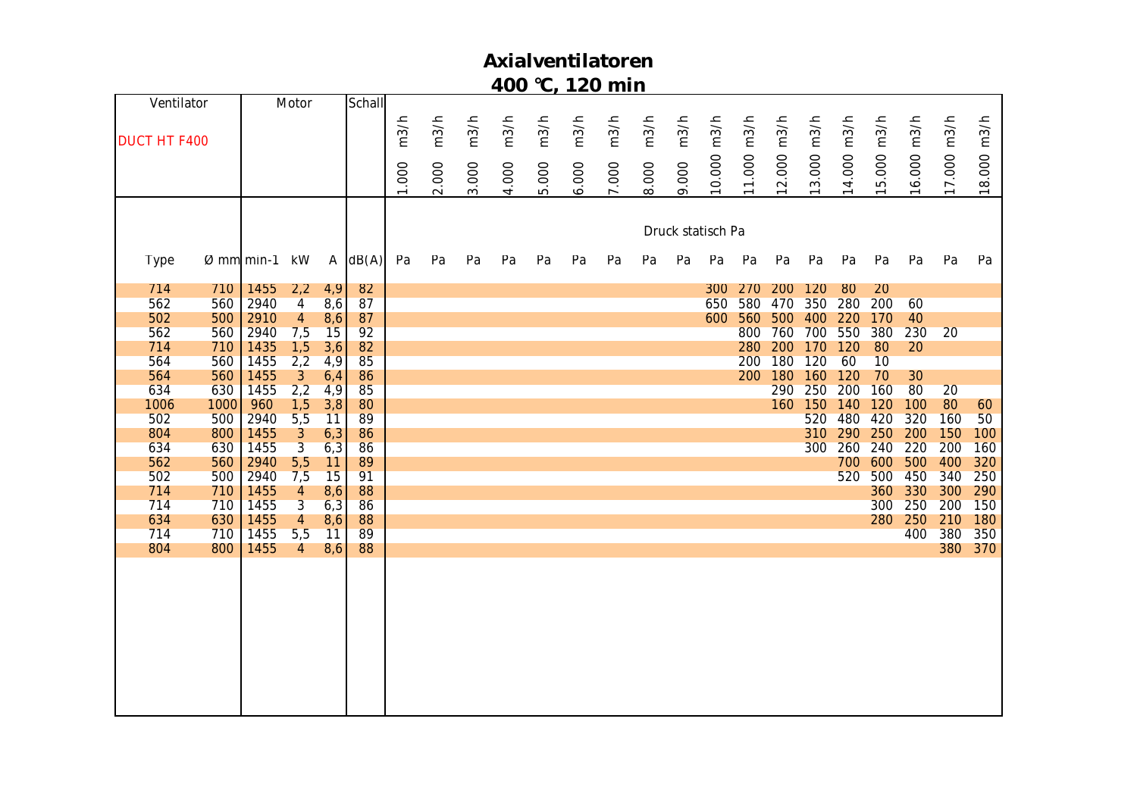| 502<br>500<br>804<br>800<br>634<br>630<br>562<br>560<br>502<br>500<br>714<br>710<br>714<br>710<br>634<br>630<br>714<br>710<br>804<br>800 |      |                |                |                |      |      |                |                |      | 1006<br>1000 | 634<br>630 | 564<br>560   | 560<br>564 | 714<br>710 | 562<br>560 | 502<br>500     | 562<br>560            | 714<br>710 | <b>Type</b>            |                   |             | <b>DUCT HT F400</b> | Ventilator |
|------------------------------------------------------------------------------------------------------------------------------------------|------|----------------|----------------|----------------|------|------|----------------|----------------|------|--------------|------------|--------------|------------|------------|------------|----------------|-----------------------|------------|------------------------|-------------------|-------------|---------------------|------------|
| 1455                                                                                                                                     | 1455 | 1455           | 1455           | 1455           | 2940 | 2940 | 1455           | 1455           | 2940 | 960          | 1455       | 1455         | 1455       | 1435       | 2940       | 2910           | 2940                  | 1455       | $\varnothing$ mm min-1 |                   |             |                     |            |
| $\overline{4}$                                                                                                                           | 5,5  | $\overline{4}$ | $\overline{3}$ | $\overline{4}$ | 7,5  | 5,5  | $\overline{3}$ | $\mathfrak{Z}$ | 5,5  | 1,5          | 2,2        | $\mathbf{3}$ | 1,5<br>2,2 |            | 7,5        | $\overline{4}$ | 2,2<br>$\overline{4}$ |            | kW                     |                   |             |                     | Motor      |
| 8,6                                                                                                                                      | 11   | 8,6            | 6,3            | 8,6            | 15   | 11   | 6,3            | 6,3            | 11   | 3,8          | 4,9        | 6,4          | 3,6<br>4,9 |            | 15         | 8,6            | 4,9<br>8,6            |            | $\mathsf{A}$           |                   |             |                     |            |
| 88                                                                                                                                       | 89   | 88             | 86             | 88             | 91   | 89   | 86             | 86             | 89   | 80           | 85         | 86           | 85         | 82         | 92         | 87             | 87                    | 82         | dB(A)                  |                   |             |                     | Schall     |
|                                                                                                                                          |      |                |                |                |      |      |                |                |      |              |            |              |            |            |            |                |                       |            | Pa                     |                   | 1.000       | m3/h                |            |
|                                                                                                                                          |      |                |                |                |      |      |                |                |      |              |            |              |            |            |            |                |                       |            | Pa                     |                   | 2.000       | m3/h                |            |
|                                                                                                                                          |      |                |                |                |      |      |                |                |      |              |            |              |            |            |            |                |                       |            | Pa                     |                   | 3.000       | m3/h                |            |
|                                                                                                                                          |      |                |                |                |      |      |                |                |      |              |            |              |            |            |            |                |                       |            | Pa                     |                   | 4.000       | m3/h                |            |
|                                                                                                                                          |      |                |                |                |      |      |                |                |      |              |            |              |            |            |            |                |                       |            | Pa                     |                   | 5.000       | m3/h                |            |
|                                                                                                                                          |      |                |                |                |      |      |                |                |      |              |            |              |            |            |            |                |                       |            | Pa                     |                   | 6.000       | m3/h                |            |
|                                                                                                                                          |      |                |                |                |      |      |                |                |      |              |            |              |            |            |            |                |                       |            | Pa                     |                   | 7.000       | m3/h                |            |
|                                                                                                                                          |      |                |                |                |      |      |                |                |      |              |            |              |            |            |            |                |                       |            | Pa                     |                   | 8.000       | m3/h                |            |
|                                                                                                                                          |      |                |                |                |      |      |                |                |      |              |            |              |            |            |            |                |                       |            | Pa                     | Druck statisch Pa | 9.000       | m3/h                |            |
|                                                                                                                                          |      |                |                |                |      |      |                |                |      |              |            |              |            |            |            | 600            | 650                   | 300        | Pa                     |                   | 10.000      | m3/h                |            |
|                                                                                                                                          |      |                |                |                |      |      |                |                |      |              |            |              | 200        | 280        | 800        | 560            | 580                   | 270        | Pa                     |                   | 11.000 m3/h |                     |            |
|                                                                                                                                          |      |                |                |                |      |      |                |                |      |              | 290        | 200 180      | 180        | 200        |            |                | 470                   | 200        | Pa                     |                   | 2.000       | m3/h                |            |
|                                                                                                                                          |      |                |                |                |      |      | 300            | 310            | 520  | 160 150      | 250        | 160          | 120        | 170        | 760 700    | 500 400        | 350                   | 120        | Pa                     |                   |             | 3.000 m3/h          |            |
|                                                                                                                                          |      |                |                |                | 520  | 700  | 260            | 290            | 480  | 140          | 200        | 120          | 60         | 120        | 550        | 220            | 280                   | 80         | Pa                     |                   | 14.000 m3/h |                     |            |
|                                                                                                                                          |      | 280            | 300            | 360            | 500  | 600  | 240            | 250            | 420  | 120          | 160        | 70           | 10         | 80         | 380        | 170            | 200                   | 20         | Pa                     |                   | 15.000      | m3/h                |            |
|                                                                                                                                          | 400  | 250            | 250            | 330            | 450  | 500  | 220            | 200            | 320  | 100          | 80         | 30           |            | 20         | 230        | 40             | 60                    |            | Pa                     |                   | 16.000 m3/h |                     |            |
| 380                                                                                                                                      | 380  | 210            | 200            | 300            | 340  | 400  | 200            | 150            | 160  | 80           | 20         |              |            |            | 20         |                |                       |            | Pa                     |                   |             | 7.000 m3/h          |            |
| 370                                                                                                                                      | 350  | 180            | 150            | 290            | 250  | 320  | 160            | 100            | 50   | 60           |            |              |            |            |            |                |                       |            | Pa                     |                   | 18.000 m3/h |                     |            |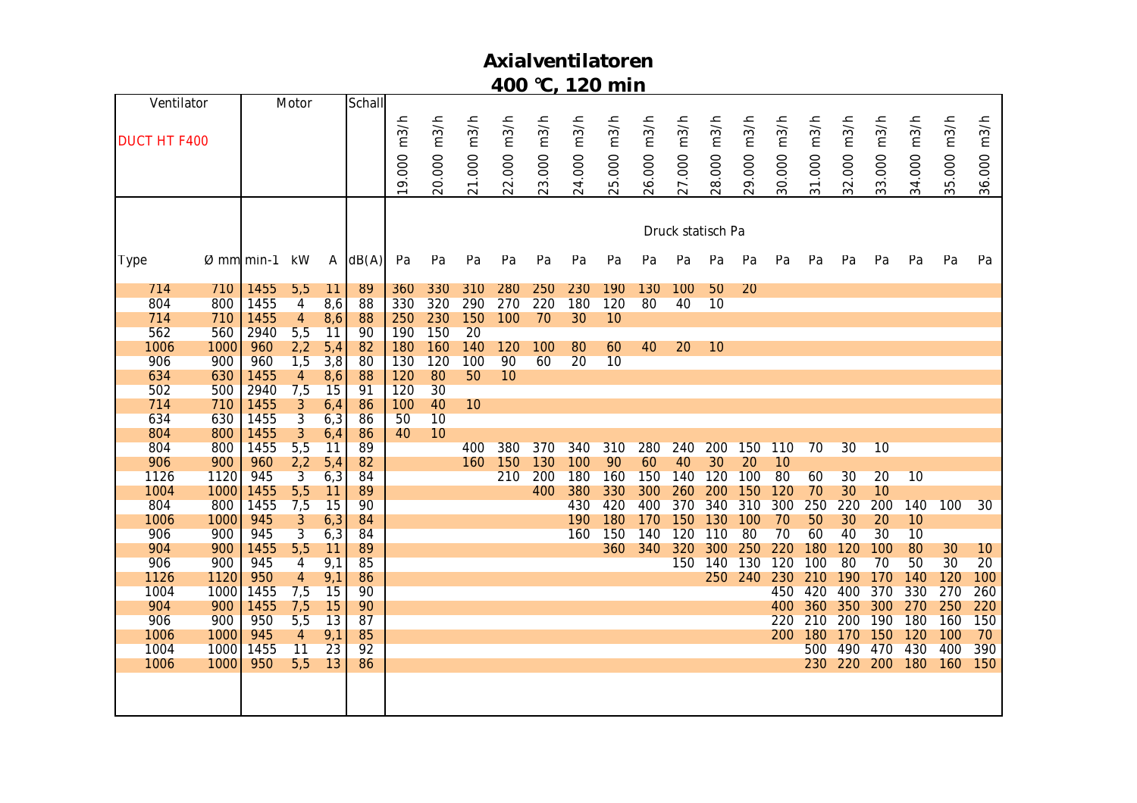|                     | Ventilator |                         | Motor          |              | Schall |            |        |        |        |        |        |        |        |                   |        |        |        |        |        |        |        |        |             |
|---------------------|------------|-------------------------|----------------|--------------|--------|------------|--------|--------|--------|--------|--------|--------|--------|-------------------|--------|--------|--------|--------|--------|--------|--------|--------|-------------|
|                     |            |                         |                |              |        |            |        |        |        |        |        |        |        |                   |        |        |        |        |        |        |        |        |             |
| <b>DUCT HT F400</b> |            |                         |                |              |        | 9.000 m3/h | m3/h   | m3/h   | m3/h   | m3/h   | m3/h   | m3/h   | m3/h   |                   | m3/h   | m3/h   | m3/h   | m3/h   | m3/h   | m3/h   | m3/h   | m3/h   |             |
|                     |            |                         |                |              |        |            |        |        |        |        |        |        |        |                   |        |        |        |        |        |        |        |        |             |
|                     |            |                         |                |              |        |            |        |        |        |        |        |        |        |                   |        |        |        |        |        |        |        |        |             |
|                     |            |                         |                |              |        |            | 20.000 | 21.000 | 22.000 | 23.000 | 24.000 | 25.000 | 26.000 | 27.000 m3/h       | 28.000 | 29.000 | 30.000 | 31.000 | 32.000 | 33.000 | 34.000 | 35.000 | 36.000 m3/h |
|                     |            |                         |                |              |        |            |        |        |        |        |        |        |        |                   |        |        |        |        |        |        |        |        |             |
|                     |            |                         |                |              |        |            |        |        |        |        |        |        |        |                   |        |        |        |        |        |        |        |        |             |
|                     |            |                         |                |              |        |            |        |        |        |        |        |        |        | Druck statisch Pa |        |        |        |        |        |        |        |        |             |
|                     |            |                         |                |              |        |            |        |        |        |        |        |        |        |                   |        |        |        |        |        |        |        |        |             |
| <b>Type</b>         |            | $\varnothing$ mml min-1 | kW             | $\mathsf{A}$ | dB(A)  | Pa         | Pa     | Pa     | Pa     | Pa     | Pa     | Pa     | Pa     | Pa                | Pa     | Pa     | Pa     | Pa     | Pa     | Pa     | Pa     | Pa     | Pa          |
| 714                 | 710        | 1455                    | 5,5            | 11           | 89     | 360        | 330    | 310    | 280    | 250    | 230    | 190    | 130    | 100               | 50     | 20     |        |        |        |        |        |        |             |
| 804                 | 800        | 1455                    | $\overline{4}$ | 8,6          | 88     | 330        | 320    | 290    | 270    | 220    | 180    | 120    | 80     | 40                | 10     |        |        |        |        |        |        |        |             |
| 714                 | 710        | 1455                    | $\overline{4}$ | 8,6          | 88     | 250        | 230    | 150    | 100    | 70     | 30     | 10     |        |                   |        |        |        |        |        |        |        |        |             |
| 562                 | 560        | 2940                    | 5,5            | 11           | 90     | 190        | 150    | 20     |        |        |        |        |        |                   |        |        |        |        |        |        |        |        |             |
| 1006                | 1000       | 960                     | 2,2            | 5,4          | 82     | 180        | 160    | 140    | 120    | 100    | 80     | 60     | 40     | 20                | 10     |        |        |        |        |        |        |        |             |
| 906                 | 900        | 960                     | 1,5            | 3,8          | 80     | 130        | 120    | 100    | 90     | 60     | 20     | 10     |        |                   |        |        |        |        |        |        |        |        |             |
| 634                 | 630        | 1455                    | $\overline{4}$ | 8,6          | 88     | 120        | 80     | 50     | 10     |        |        |        |        |                   |        |        |        |        |        |        |        |        |             |
| 502                 | 500        | 2940                    | 7,5            | 15           | 91     | 120        | 30     |        |        |        |        |        |        |                   |        |        |        |        |        |        |        |        |             |
| 714                 | 710        | 1455                    | 3              | 6,4          | 86     | 100        | 40     | 10     |        |        |        |        |        |                   |        |        |        |        |        |        |        |        |             |
| 634                 | 630        | 1455                    | $\overline{3}$ | 6,3          | 86     | 50         | 10     |        |        |        |        |        |        |                   |        |        |        |        |        |        |        |        |             |
| 804                 | 800        | 1455                    | $\overline{3}$ | 6,4          | 86     | 40         | 10     |        |        |        |        |        |        |                   |        |        |        |        |        |        |        |        |             |
| 804                 | 800        | 1455                    | 5,5            | 11           | 89     |            |        | 400    | 380    | 370    | 340    | 310    | 280    | 240               | 200    | 150    | 110    | 70     | 30     | 10     |        |        |             |
| 906                 | 900        | 960                     | 2,2            | 5,4          | 82     |            |        | 160    | 150    | 130    | 100    | 90     | 60     | 40                | 30     | 20     | 10     |        |        |        |        |        |             |
| 1126                | 1120       | 945                     | $\overline{3}$ | 6,3          | 84     |            |        |        | 210    | 200    | 180    | 160    | 150    | 140               | 120    | 100    | 80     | 60     | 30     | 20     | 10     |        |             |
| 1004                | 1000       | 1455                    | 5,5            | 11           | 89     |            |        |        |        | 400    | 380    | 330    | 300    | 260               | 200    | 150    | 120    | 70     | 30     | 10     |        |        |             |
| 804                 | 800        | 1455                    | 7,5            | 15           | 90     |            |        |        |        |        | 430    | 420    | 400    | 370               | 340    | 310    | 300    | 250    | 220    | 200    | 140    | 100    | 30          |
| 1006                | 1000       | 945                     | $\mathfrak{Z}$ | 6,3          | 84     |            |        |        |        |        | 190    | 180    | 170    | 150               | 130    | 100    | 70     | 50     | 30     | 20     | 10     |        |             |
| 906                 | 900        | 945                     | $\overline{3}$ | 6,3          | 84     |            |        |        |        |        | 160    | 150    | 140    | 120               | 110    | 80     | 70     | 60     | 40     | 30     | 10     |        |             |
| 904                 | 900        | 1455                    | 5,5            | 11           | 89     |            |        |        |        |        |        | 360    | 340    | 320               | 300    | 250    | 220    | 180    | 120    | 100    | 80     | 30     | 10          |
| 906                 | 900        | 945                     | $\overline{4}$ | 9,1          | 85     |            |        |        |        |        |        |        |        | 150               | 140    | 130    | 120    | 100    | 80     | 70     | 50     | 30     | 20          |
| 1126                | 1120       | 950                     | 4              | 9,1          | 86     |            |        |        |        |        |        |        |        |                   | 250    | 240    | 230    | 210    | 190    | 170    | 140    | 120    | 100         |
| 1004                | 1000       | 1455                    | 7,5            | 15           | 90     |            |        |        |        |        |        |        |        |                   |        |        | 450    | 420    | 400    | 370    | 330    | 270    | 260         |
| 904                 | 900        | 1455                    | 7,5            | 15           | 90     |            |        |        |        |        |        |        |        |                   |        |        | 400    | 360    | 350    | 300    | 270    | 250    | 220         |
| 906                 | 900        | 950                     | 5,5            | 13           | 87     |            |        |        |        |        |        |        |        |                   |        |        | 220    | 210    | 200    | 190    | 180    | 160    | 150         |
| 1006                | 1000       | 945                     | $\overline{4}$ | 9,1          | 85     |            |        |        |        |        |        |        |        |                   |        |        | 200    | 180    | 170    | 150    | 120    | 100    | 70          |
| 1004                | 1000       | 1455                    | 11             | 23           | 92     |            |        |        |        |        |        |        |        |                   |        |        |        | 500    | 490    | 470    | 430    | 400    | 390         |
| 1006                | 1000       | 950                     | 5,5            | 13           | 86     |            |        |        |        |        |        |        |        |                   |        |        |        | 230    | 220    | 200    | 180    | 160    | 150         |
|                     |            |                         |                |              |        |            |        |        |        |        |        |        |        |                   |        |        |        |        |        |        |        |        |             |
|                     |            |                         |                |              |        |            |        |        |        |        |        |        |        |                   |        |        |        |        |        |        |        |        |             |
|                     |            |                         |                |              |        |            |        |        |        |        |        |        |        |                   |        |        |        |        |        |        |        |        |             |